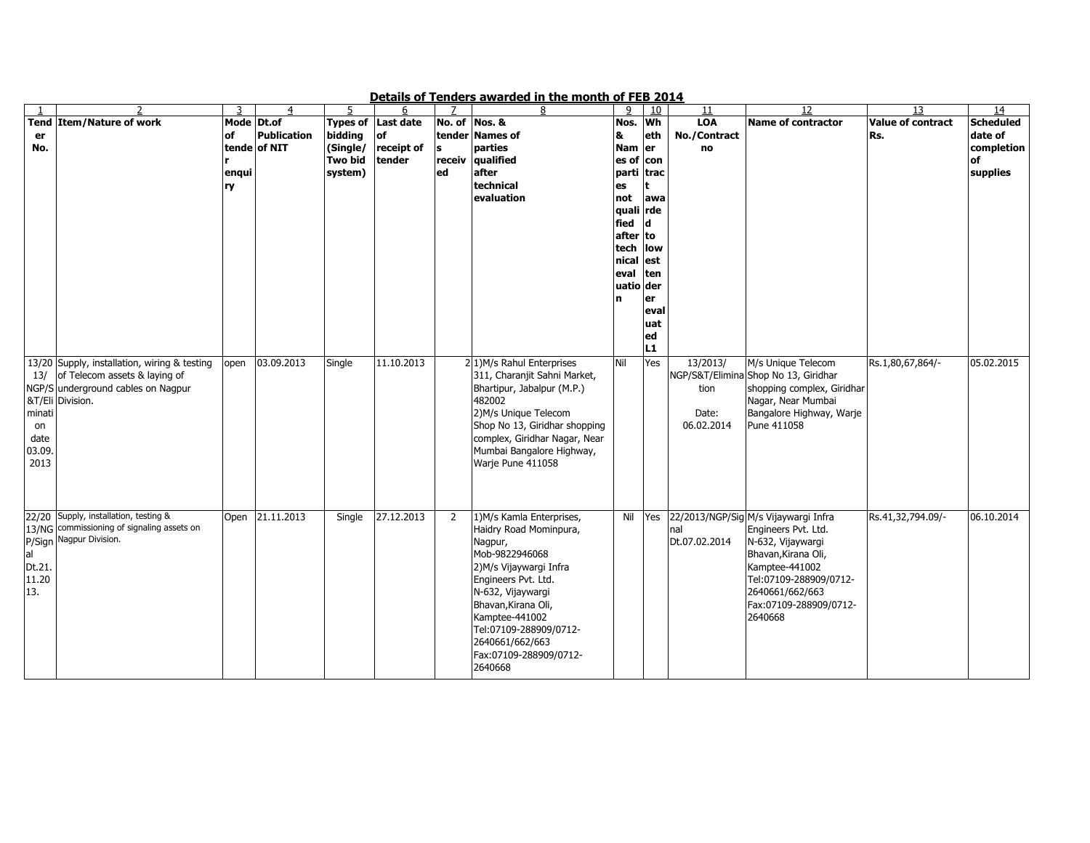|        |                                              |            |                    |                |                    |               | <u>Petans of Tenders awarded in the inolitie of FEB 2014</u> |           |         |               |                                      |                          |                  |
|--------|----------------------------------------------|------------|--------------------|----------------|--------------------|---------------|--------------------------------------------------------------|-----------|---------|---------------|--------------------------------------|--------------------------|------------------|
|        |                                              | 3          | 4                  | 5              | 6                  |               |                                                              | 9         | 10      | 11            | 12                                   | 13                       | 14               |
|        | Tend Item/Nature of work                     | Mode Dt.of |                    |                | Types of Last date | No. of Nos. & |                                                              | Nos.      | Wh      | <b>LOA</b>    | <b>Name of contractor</b>            | <b>Value of contract</b> | <b>Scheduled</b> |
| er     |                                              | lof        | <b>Publication</b> | bidding        | <b>of</b>          |               | tender Names of                                              | 8         | eth     | No./Contract  |                                      | Rs.                      | date of          |
| No.    |                                              |            | tende of NIT       | (Single/       | receipt of         | s             | parties                                                      | Nam er    |         | no            |                                      |                          | completion       |
|        |                                              |            |                    | <b>Two bid</b> | tender             | receiv        | qualified                                                    | es of con |         |               |                                      |                          | of               |
|        |                                              | enqui      |                    | system)        |                    | ed            | after                                                        | parti     | trac    |               |                                      |                          | supplies         |
|        |                                              |            |                    |                |                    |               | technical                                                    |           |         |               |                                      |                          |                  |
|        |                                              | ry         |                    |                |                    |               |                                                              | es        |         |               |                                      |                          |                  |
|        |                                              |            |                    |                |                    |               | evaluation                                                   | not       | awa     |               |                                      |                          |                  |
|        |                                              |            |                    |                |                    |               |                                                              | quali     | rde     |               |                                      |                          |                  |
|        |                                              |            |                    |                |                    |               |                                                              | fied      |         |               |                                      |                          |                  |
|        |                                              |            |                    |                |                    |               |                                                              | after to  |         |               |                                      |                          |                  |
|        |                                              |            |                    |                |                    |               |                                                              | tech      | low     |               |                                      |                          |                  |
|        |                                              |            |                    |                |                    |               |                                                              | nical est |         |               |                                      |                          |                  |
|        |                                              |            |                    |                |                    |               |                                                              | leval     | ten     |               |                                      |                          |                  |
|        |                                              |            |                    |                |                    |               |                                                              | uatio der |         |               |                                      |                          |                  |
|        |                                              |            |                    |                |                    |               |                                                              |           |         |               |                                      |                          |                  |
|        |                                              |            |                    |                |                    |               |                                                              | In.       | er      |               |                                      |                          |                  |
|        |                                              |            |                    |                |                    |               |                                                              |           | eval    |               |                                      |                          |                  |
|        |                                              |            |                    |                |                    |               |                                                              |           | uat     |               |                                      |                          |                  |
|        |                                              |            |                    |                |                    |               |                                                              |           | ed      |               |                                      |                          |                  |
|        |                                              |            |                    |                |                    |               |                                                              |           | L1      |               |                                      |                          |                  |
|        | 13/20 Supply, installation, wiring & testing | open       | 03.09.2013         | Single         | 11.10.2013         |               | 2 <sup>1</sup> )M/s Rahul Enterprises                        | Nil       | Yes     | 13/2013/      | M/s Unique Telecom                   | Rs.1,80,67,864/-         | 05.02.2015       |
| 13/    | of Telecom assets & laying of                |            |                    |                |                    |               | 311, Charanjit Sahni Market,                                 |           |         |               | NGP/S&T/Elimina Shop No 13, Giridhar |                          |                  |
|        |                                              |            |                    |                |                    |               |                                                              |           |         |               |                                      |                          |                  |
|        | NGP/S underground cables on Nagpur           |            |                    |                |                    |               | Bhartipur, Jabalpur (M.P.)                                   |           |         | tion          | shopping complex, Giridhar           |                          |                  |
|        | &T/Eli Division.                             |            |                    |                |                    |               | 482002                                                       |           |         |               | Nagar, Near Mumbai                   |                          |                  |
| minati |                                              |            |                    |                |                    |               | 2) M/s Unique Telecom                                        |           |         | Date:         | Bangalore Highway, Warje             |                          |                  |
| on     |                                              |            |                    |                |                    |               | Shop No 13, Giridhar shopping                                |           |         | 06.02.2014    | Pune 411058                          |                          |                  |
| date   |                                              |            |                    |                |                    |               | complex, Giridhar Nagar, Near                                |           |         |               |                                      |                          |                  |
| 03.09. |                                              |            |                    |                |                    |               | Mumbai Bangalore Highway,                                    |           |         |               |                                      |                          |                  |
| 2013   |                                              |            |                    |                |                    |               | Warje Pune 411058                                            |           |         |               |                                      |                          |                  |
|        |                                              |            |                    |                |                    |               |                                                              |           |         |               |                                      |                          |                  |
|        |                                              |            |                    |                |                    |               |                                                              |           |         |               |                                      |                          |                  |
|        |                                              |            |                    |                |                    |               |                                                              |           |         |               |                                      |                          |                  |
|        |                                              |            |                    |                |                    |               |                                                              |           |         |               |                                      |                          |                  |
|        | 22/20 Supply, installation, testing &        | Open       | 21.11.2013         | Single         | 27.12.2013         | 2             | 1) M/s Kamla Enterprises,                                    |           | Nil Yes |               | 22/2013/NGP/Sig M/s Vijaywargi Infra | Rs.41,32,794.09/-        | 06.10.2014       |
|        | 13/NG commissioning of signaling assets on   |            |                    |                |                    |               | Haidry Road Mominpura,                                       |           |         | nal           | Engineers Pvt. Ltd.                  |                          |                  |
|        | P/Sign Nagpur Division.                      |            |                    |                |                    |               | Nagpur,                                                      |           |         | Dt.07.02.2014 | N-632, Vijaywargi                    |                          |                  |
| al     |                                              |            |                    |                |                    |               | Mob-9822946068                                               |           |         |               | Bhavan, Kirana Oli,                  |                          |                  |
|        |                                              |            |                    |                |                    |               |                                                              |           |         |               |                                      |                          |                  |
| Dt.21. |                                              |            |                    |                |                    |               | 2) M/s Vijaywargi Infra                                      |           |         |               | Kamptee-441002                       |                          |                  |
| 11.20  |                                              |            |                    |                |                    |               | Engineers Pvt. Ltd.                                          |           |         |               | Tel:07109-288909/0712-               |                          |                  |
| 13.    |                                              |            |                    |                |                    |               | N-632, Vijaywargi                                            |           |         |               | 2640661/662/663                      |                          |                  |
|        |                                              |            |                    |                |                    |               | Bhavan, Kirana Oli,                                          |           |         |               | Fax:07109-288909/0712-               |                          |                  |
|        |                                              |            |                    |                |                    |               | Kamptee-441002                                               |           |         |               | 2640668                              |                          |                  |
|        |                                              |            |                    |                |                    |               | Tel:07109-288909/0712-                                       |           |         |               |                                      |                          |                  |
|        |                                              |            |                    |                |                    |               | 2640661/662/663                                              |           |         |               |                                      |                          |                  |
|        |                                              |            |                    |                |                    |               |                                                              |           |         |               |                                      |                          |                  |
|        |                                              |            |                    |                |                    |               | Fax:07109-288909/0712-                                       |           |         |               |                                      |                          |                  |
|        |                                              |            |                    |                |                    |               | 2640668                                                      |           |         |               |                                      |                          |                  |

Details of Tenders awarded in the month of FEB 2014